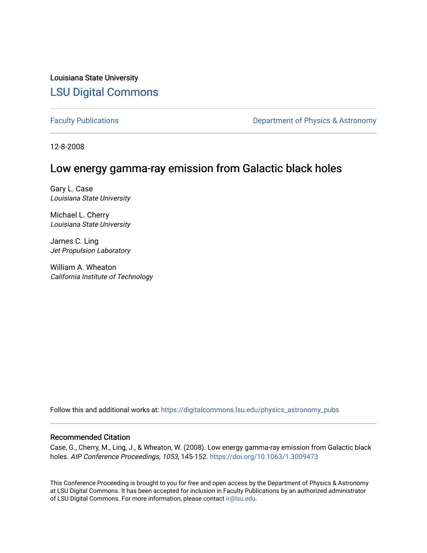Louisiana State University [LSU Digital Commons](https://digitalcommons.lsu.edu/)

[Faculty Publications](https://digitalcommons.lsu.edu/physics_astronomy_pubs) **Exercise 2 and Table 2 and Table 2 and Table 2 and Table 2 and Table 2 and Table 2 and Table 2 and Table 2 and Table 2 and Table 2 and Table 2 and Table 2 and Table 2 and Table 2 and Table 2 and Table** 

12-8-2008

# Low energy gamma-ray emission from Galactic black holes

Gary L. Case Louisiana State University

Michael L. Cherry Louisiana State University

James C. Ling Jet Propulsion Laboratory

William A. Wheaton California Institute of Technology

Follow this and additional works at: [https://digitalcommons.lsu.edu/physics\\_astronomy\\_pubs](https://digitalcommons.lsu.edu/physics_astronomy_pubs?utm_source=digitalcommons.lsu.edu%2Fphysics_astronomy_pubs%2F684&utm_medium=PDF&utm_campaign=PDFCoverPages) 

# Recommended Citation

Case, G., Cherry, M., Ling, J., & Wheaton, W. (2008). Low energy gamma-ray emission from Galactic black holes. AIP Conference Proceedings, 1053, 145-152.<https://doi.org/10.1063/1.3009473>

This Conference Proceeding is brought to you for free and open access by the Department of Physics & Astronomy at LSU Digital Commons. It has been accepted for inclusion in Faculty Publications by an authorized administrator of LSU Digital Commons. For more information, please contact [ir@lsu.edu](mailto:ir@lsu.edu).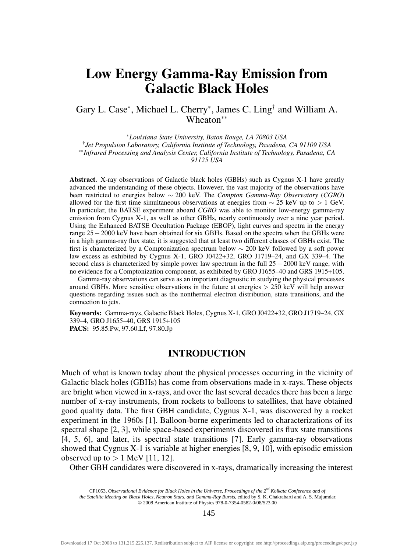# Low Energy Gamma-Ray Emission from Galactic Black Holes

# Gary L. Case<sup>∗</sup> , Michael L. Cherry<sup>∗</sup> , James C. Ling† and William A. Wheaton∗∗

<sup>∗</sup>*Louisiana State University, Baton Rouge, LA 70803 USA* †*Jet Propulsion Laboratory, California Institute of Technology, Pasadena, CA 91109 USA* ∗∗*Infrared Processing and Analysis Center, California Institute of Technology, Pasadena, CA 91125 USA*

Abstract. X-ray observations of Galactic black holes (GBHs) such as Cygnus X-1 have greatly advanced the understanding of these objects. However, the vast majority of the observations have been restricted to energies below ∼ 200 keV. The *Compton Gamma-Ray Observatory* (*CGRO*) allowed for the first time simultaneous observations at energies from  $\sim$  25 keV up to > 1 GeV. In particular, the BATSE experiment aboard *CGRO* was able to monitor low-energy gamma-ray emission from Cygnus X-1, as well as other GBHs, nearly continuously over a nine year period. Using the Enhanced BATSE Occultation Package (EBOP), light curves and spectra in the energy range 25−2000 keV have been obtained for six GBHs. Based on the spectra when the GBHs were in a high gamma-ray flux state, it is suggested that at least two different classes of GBHs exist. The first is characterized by a Comptonization spectrum below ∼ 200 keV followed by a soft power law excess as exhibited by Cygnus X-1, GRO J0422+32, GRO J1719–24, and GX 339–4. The second class is characterized by simple power law spectrum in the full 25 – 2000 keV range, with no evidence for a Comptonization component, as exhibited by GRO J1655–40 and GRS 1915+105.

Gamma-ray observations can serve as an important diagnostic in studying the physical processes around GBHs. More sensitive observations in the future at energies  $> 250 \text{ keV}$  will help answer questions regarding issues such as the nonthermal electron distribution, state transitions, and the connection to jets.

Keywords: Gamma-rays, Galactic Black Holes, Cygnus X-1, GRO J0422+32, GRO J1719–24, GX 339–4, GRO J1655–40, GRS 1915+105 PACS: 95.85.Pw, 97.60.Lf, 97.80.Jp

### INTRODUCTION

Much of what is known today about the physical processes occurring in the vicinity of Galactic black holes (GBHs) has come from observations made in x-rays. These objects are bright when viewed in x-rays, and over the last several decades there has been a large number of x-ray instruments, from rockets to balloons to satellites, that have obtained good quality data. The first GBH candidate, Cygnus X-1, was discovered by a rocket experiment in the 1960s [1]. Balloon-borne experiments led to characterizations of its spectral shape [2, 3], while space-based experiments discovered its flux state transitions [4, 5, 6], and later, its spectral state transitions [7]. Early gamma-ray observations showed that Cygnus X-1 is variable at higher energies [8, 9, 10], with episodic emission observed up to  $> 1$  MeV [11, 12].

Other GBH candidates were discovered in x-rays, dramatically increasing the interest

145

CP1053, Observational Evidence for Black Holes in the Universe, Proceedings of the  $2<sup>nd</sup>$  Kolkata Conference and of the Satellite Meeting on Black Holes, Neutron Stars, and Gamma-Ray Bursts, edited by S. K. Chakrabart © 2008 American Institute of Physics 978-0-7354-0582-0/08/\$23.00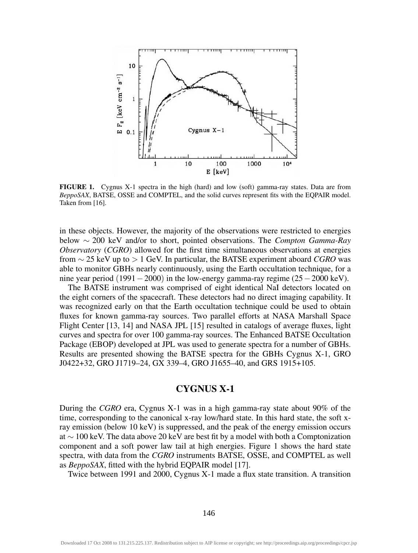

FIGURE 1. Cygnus X-1 spectra in the high (hard) and low (soft) gamma-ray states. Data are from *BeppoSAX*, BATSE, OSSE and COMPTEL, and the solid curves represent fits with the EQPAIR model. Taken from [16].

in these objects. However, the majority of the observations were restricted to energies below ∼ 200 keV and/or to short, pointed observations. The *Compton Gamma-Ray Observatory* (*CGRO*) allowed for the first time simultaneous observations at energies from ∼ 25 keV up to > 1 GeV. In particular, the BATSE experiment aboard *CGRO* was able to monitor GBHs nearly continuously, using the Earth occultation technique, for a nine year period (1991 $-2000$ ) in the low-energy gamma-ray regime (25 $-2000 \text{ keV}$ ).

The BATSE instrument was comprised of eight identical NaI detectors located on the eight corners of the spacecraft. These detectors had no direct imaging capability. It was recognized early on that the Earth occultation technique could be used to obtain fluxes for known gamma-ray sources. Two parallel efforts at NASA Marshall Space Flight Center [13, 14] and NASA JPL [15] resulted in catalogs of average fluxes, light curves and spectra for over 100 gamma-ray sources. The Enhanced BATSE Occultation Package (EBOP) developed at JPL was used to generate spectra for a number of GBHs. Results are presented showing the BATSE spectra for the GBHs Cygnus X-1, GRO J0422+32, GRO J1719–24, GX 339–4, GRO J1655–40, and GRS 1915+105.

## CYGNUS X-1

During the *CGRO* era, Cygnus X-1 was in a high gamma-ray state about 90% of the time, corresponding to the canonical x-ray low/hard state. In this hard state, the soft xray emission (below 10 keV) is suppressed, and the peak of the energy emission occurs at ∼ 100 keV. The data above 20 keV are best fit by a model with both a Comptonization component and a soft power law tail at high energies. Figure 1 shows the hard state spectra, with data from the *CGRO* instruments BATSE, OSSE, and COMPTEL as well as *BeppoSAX*, fitted with the hybrid EQPAIR model [17].

Twice between 1991 and 2000, Cygnus X-1 made a flux state transition. A transition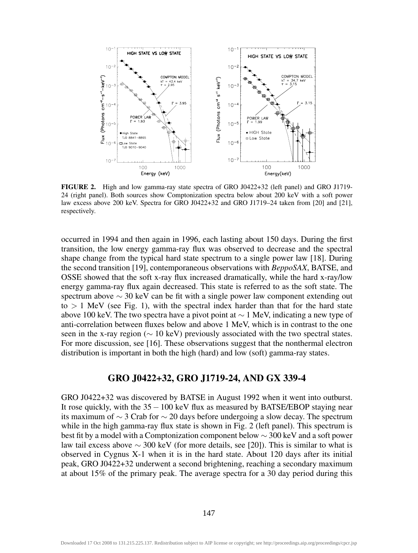

FIGURE 2. High and low gamma-ray state spectra of GRO J0422+32 (left panel) and GRO J1719- 24 (right panel). Both sources show Comptonization spectra below about 200 keV with a soft power law excess above 200 keV. Spectra for GRO J0422+32 and GRO J1719–24 taken from [20] and [21], respectively.

occurred in 1994 and then again in 1996, each lasting about 150 days. During the first transition, the low energy gamma-ray flux was observed to decrease and the spectral shape change from the typical hard state spectrum to a single power law [18]. During the second transition [19], contemporaneous observations with *BeppoSAX*, BATSE, and OSSE showed that the soft x-ray flux increased dramatically, while the hard x-ray/low energy gamma-ray flux again decreased. This state is referred to as the soft state. The spectrum above  $\sim$  30 keV can be fit with a single power law component extending out to  $> 1$  MeV (see Fig. 1), with the spectral index harder than that for the hard state above 100 keV. The two spectra have a pivot point at  $\sim 1$  MeV, indicating a new type of anti-correlation between fluxes below and above 1 MeV, which is in contrast to the one seen in the x-ray region ( $\sim$  10 keV) previously associated with the two spectral states. For more discussion, see [16]. These observations suggest that the nonthermal electron distribution is important in both the high (hard) and low (soft) gamma-ray states.

## GRO J0422+32, GRO J1719-24, AND GX 339-4

GRO J0422+32 was discovered by BATSE in August 1992 when it went into outburst. It rose quickly, with the 35−100 keV flux as measured by BATSE/EBOP staying near its maximum of  $\sim$  3 Crab for  $\sim$  20 days before undergoing a slow decay. The spectrum while in the high gamma-ray flux state is shown in Fig. 2 (left panel). This spectrum is best fit by a model with a Comptonization component below  $\sim$  300 keV and a soft power law tail excess above  $\sim$  300 keV (for more details, see [20]). This is similar to what is observed in Cygnus X-1 when it is in the hard state. About 120 days after its initial peak, GRO J0422+32 underwent a second brightening, reaching a secondary maximum at about 15% of the primary peak. The average spectra for a 30 day period during this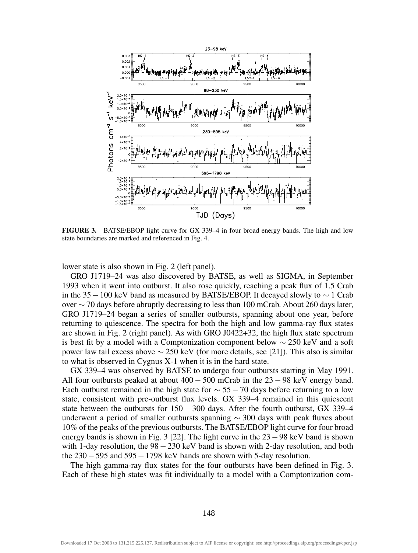

FIGURE 3. BATSE/EBOP light curve for GX 339–4 in four broad energy bands. The high and low state boundaries are marked and referenced in Fig. 4.

lower state is also shown in Fig. 2 (left panel).

GRO J1719–24 was also discovered by BATSE, as well as SIGMA, in September 1993 when it went into outburst. It also rose quickly, reaching a peak flux of 1.5 Crab in the 35−100 keV band as measured by BATSE/EBOP. It decayed slowly to  $\sim$  1 Crab over ∼ 70 days before abruptly decreasing to less than 100 mCrab. About 260 days later, GRO J1719–24 began a series of smaller outbursts, spanning about one year, before returning to quiescence. The spectra for both the high and low gamma-ray flux states are shown in Fig. 2 (right panel). As with GRO J0422+32, the high flux state spectrum is best fit by a model with a Comptonization component below  $\sim$  250 keV and a soft power law tail excess above ∼ 250 keV (for more details, see [21]). This also is similar to what is observed in Cygnus X-1 when it is in the hard state.

GX 339–4 was observed by BATSE to undergo four outbursts starting in May 1991. All four outbursts peaked at about  $400 - 500$  mCrab in the  $23 - 98$  keV energy band. Each outburst remained in the high state for  $\sim$  55 − 70 days before returning to a low state, consistent with pre-outburst flux levels. GX 339–4 remained in this quiescent state between the outbursts for  $150 - 300$  days. After the fourth outburst, GX 339–4 underwent a period of smaller outbursts spanning  $\sim$  300 days with peak fluxes about 10% of the peaks of the previous outbursts. The BATSE/EBOP light curve for four broad energy bands is shown in Fig. 3 [22]. The light curve in the 23−98 keV band is shown with 1-day resolution, the  $98-230$  keV band is shown with 2-day resolution, and both the 230−595 and 595−1798 keV bands are shown with 5-day resolution.

The high gamma-ray flux states for the four outbursts have been defined in Fig. 3. Each of these high states was fit individually to a model with a Comptonization com-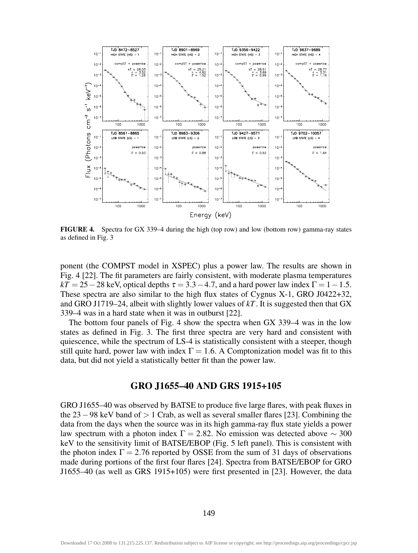

FIGURE 4. Spectra for GX 339–4 during the high (top row) and low (bottom row) gamma-ray states as defined in Fig. 3

ponent (the COMPST model in XSPEC) plus a power law. The results are shown in Fig. 4 [22]. The fit parameters are fairly consistent, with moderate plasma temperatures  $kT = 25-28$  keV, optical depths  $\tau = 3.3-4.7$ , and a hard power law index  $\Gamma = 1-1.5$ . These spectra are also similar to the high flux states of Cygnus X-1, GRO J0422+32, and GRO J1719–24, albeit with slightly lower values of *kT*. It is suggested then that GX 339–4 was in a hard state when it was in outburst [22].

The bottom four panels of Fig. 4 show the spectra when GX 339–4 was in the low states as defined in Fig. 3. The first three spectra are very hard and consistent with quiescence, while the spectrum of LS-4 is statistically consistent with a steeper, though still quite hard, power law with index  $\Gamma = 1.6$ . A Comptonization model was fit to this data, but did not yield a statistically better fit than the power law.

#### GRO J1655–40 AND GRS 1915+105

GRO J1655–40 was observed by BATSE to produce five large flares, with peak fluxes in the 23−98 keV band of > 1 Crab, as well as several smaller flares [23]. Combining the data from the days when the source was in its high gamma-ray flux state yields a power law spectrum with a photon index  $\Gamma = 2.82$ . No emission was detected above ~ 300 keV to the sensitivity limit of BATSE/EBOP (Fig. 5 left panel). This is consistent with the photon index  $\Gamma = 2.76$  reported by OSSE from the sum of 31 days of observations made during portions of the first four flares [24]. Spectra from BATSE/EBOP for GRO J1655–40 (as well as GRS 1915+105) were first presented in [23]. However, the data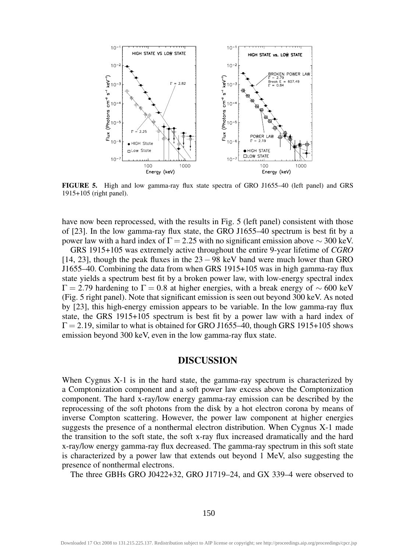

FIGURE 5. High and low gamma-ray flux state spectra of GRO J1655–40 (left panel) and GRS 1915+105 (right panel).

have now been reprocessed, with the results in Fig. 5 (left panel) consistent with those of [23]. In the low gamma-ray flux state, the GRO J1655–40 spectrum is best fit by a power law with a hard index of  $\Gamma = 2.25$  with no significant emission above  $\sim$  300 keV.

GRS 1915+105 was extremely active throughout the entire 9-year lifetime of *CGRO* [14, 23], though the peak fluxes in the  $23 - 98$  keV band were much lower than GRO J1655–40. Combining the data from when GRS 1915+105 was in high gamma-ray flux state yields a spectrum best fit by a broken power law, with low-energy spectral index  $\Gamma = 2.79$  hardening to  $\Gamma = 0.8$  at higher energies, with a break energy of ~ 600 keV (Fig. 5 right panel). Note that significant emission is seen out beyond 300 keV. As noted by [23], this high-energy emission appears to be variable. In the low gamma-ray flux state, the GRS 1915+105 spectrum is best fit by a power law with a hard index of  $\Gamma$  = 2.19, similar to what is obtained for GRO J1655–40, though GRS 1915+105 shows emission beyond 300 keV, even in the low gamma-ray flux state.

### DISCUSSION

When Cygnus X-1 is in the hard state, the gamma-ray spectrum is characterized by a Comptonization component and a soft power law excess above the Comptonization component. The hard x-ray/low energy gamma-ray emission can be described by the reprocessing of the soft photons from the disk by a hot electron corona by means of inverse Compton scattering. However, the power law component at higher energies suggests the presence of a nonthermal electron distribution. When Cygnus X-1 made the transition to the soft state, the soft x-ray flux increased dramatically and the hard x-ray/low energy gamma-ray flux decreased. The gamma-ray spectrum in this soft state is characterized by a power law that extends out beyond 1 MeV, also suggesting the presence of nonthermal electrons.

The three GBHs GRO J0422+32, GRO J1719–24, and GX 339–4 were observed to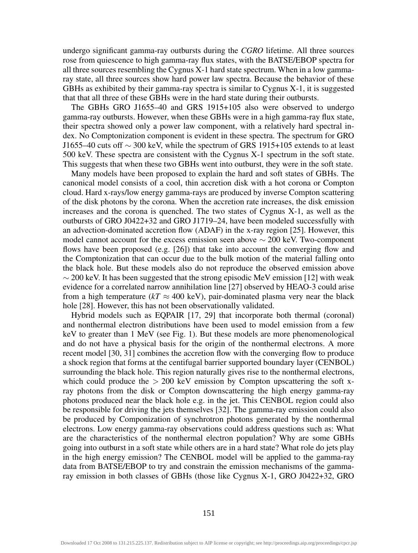undergo significant gamma-ray outbursts during the *CGRO* lifetime. All three sources rose from quiescence to high gamma-ray flux states, with the BATSE/EBOP spectra for all three sources resembling the Cygnus X-1 hard state spectrum. When in a low gammaray state, all three sources show hard power law spectra. Because the behavior of these GBHs as exhibited by their gamma-ray spectra is similar to Cygnus X-1, it is suggested that that all three of these GBHs were in the hard state during their outbursts.

The GBHs GRO J1655–40 and GRS 1915+105 also were observed to undergo gamma-ray outbursts. However, when these GBHs were in a high gamma-ray flux state, their spectra showed only a power law component, with a relatively hard spectral index. No Comptonization component is evident in these spectra. The spectrum for GRO J1655–40 cuts off  $\sim$  300 keV, while the spectrum of GRS 1915+105 extends to at least 500 keV. These spectra are consistent with the Cygnus X-1 spectrum in the soft state. This suggests that when these two GBHs went into outburst, they were in the soft state.

Many models have been proposed to explain the hard and soft states of GBHs. The canonical model consists of a cool, thin accretion disk with a hot corona or Compton cloud. Hard x-rays/low energy gamma-rays are produced by inverse Compton scattering of the disk photons by the corona. When the accretion rate increases, the disk emission increases and the corona is quenched. The two states of Cygnus X-1, as well as the outbursts of GRO J0422+32 and GRO J1719–24, have been modeled successfully with an advection-dominated accretion flow (ADAF) in the x-ray region [25]. However, this model cannot account for the excess emission seen above  $\sim$  200 keV. Two-component flows have been proposed (e.g. [26]) that take into account the converging flow and the Comptonization that can occur due to the bulk motion of the material falling onto the black hole. But these models also do not reproduce the observed emission above  $\sim$  200 keV. It has been suggested that the strong episodic MeV emission [12] with weak evidence for a correlated narrow annihilation line [27] observed by HEAO-3 could arise from a high temperature ( $kT \approx 400 \text{ keV}$ ), pair-dominated plasma very near the black hole [28]. However, this has not been observationally validated.

Hybrid models such as EQPAIR [17, 29] that incorporate both thermal (coronal) and nonthermal electron distributions have been used to model emission from a few keV to greater than 1 MeV (see Fig. 1). But these models are more phenomenological and do not have a physical basis for the origin of the nonthermal electrons. A more recent model [30, 31] combines the accretion flow with the converging flow to produce a shock region that forms at the centifugal barrier supported boundary layer (CENBOL) surrounding the black hole. This region naturally gives rise to the nonthermal electrons, which could produce the  $> 200$  keV emission by Compton upscattering the soft xray photons from the disk or Compton downscattering the high energy gamma-ray photons produced near the black hole e.g. in the jet. This CENBOL region could also be responsible for driving the jets themselves [32]. The gamma-ray emission could also be produced by Componization of synchrotron photons generated by the nonthermal electrons. Low energy gamma-ray observations could address questions such as: What are the characteristics of the nonthermal electron population? Why are some GBHs going into outburst in a soft state while others are in a hard state? What role do jets play in the high energy emission? The CENBOL model will be applied to the gamma-ray data from BATSE/EBOP to try and constrain the emission mechanisms of the gammaray emission in both classes of GBHs (those like Cygnus X-1, GRO J0422+32, GRO